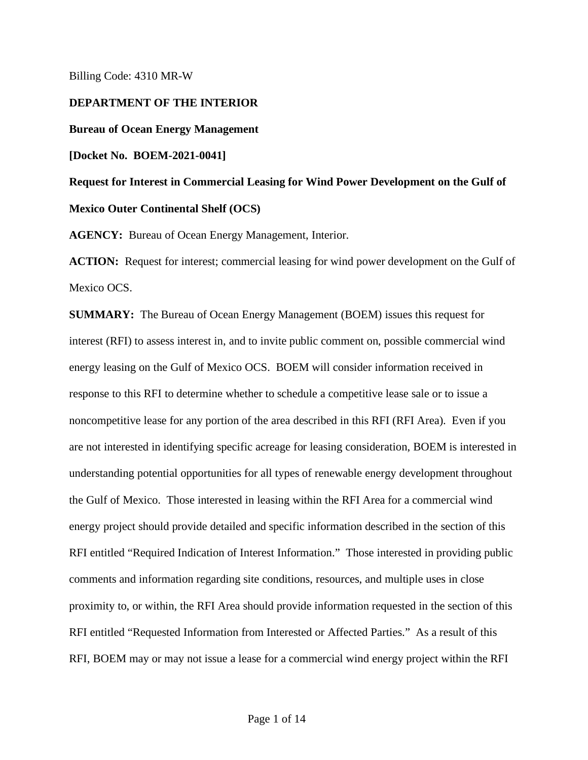Billing Code: 4310 MR-W

**DEPARTMENT OF THE INTERIOR**

**Bureau of Ocean Energy Management** 

**[Docket No. BOEM-2021-0041]**

**Request for Interest in Commercial Leasing for Wind Power Development on the Gulf of Mexico Outer Continental Shelf (OCS)** 

**AGENCY:** Bureau of Ocean Energy Management, Interior.

**ACTION:** Request for interest; commercial leasing for wind power development on the Gulf of Mexico OCS.

**SUMMARY:** The Bureau of Ocean Energy Management (BOEM) issues this request for interest (RFI) to assess interest in, and to invite public comment on, possible commercial wind energy leasing on the Gulf of Mexico OCS. BOEM will consider information received in response to this RFI to determine whether to schedule a competitive lease sale or to issue a noncompetitive lease for any portion of the area described in this RFI (RFI Area). Even if you are not interested in identifying specific acreage for leasing consideration, BOEM is interested in understanding potential opportunities for all types of renewable energy development throughout the Gulf of Mexico. Those interested in leasing within the RFI Area for a commercial wind energy project should provide detailed and specific information described in the section of this RFI entitled "Required Indication of Interest Information." Those interested in providing public comments and information regarding site conditions, resources, and multiple uses in close proximity to, or within, the RFI Area should provide information requested in the section of this RFI entitled "Requested Information from Interested or Affected Parties." As a result of this RFI, BOEM may or may not issue a lease for a commercial wind energy project within the RFI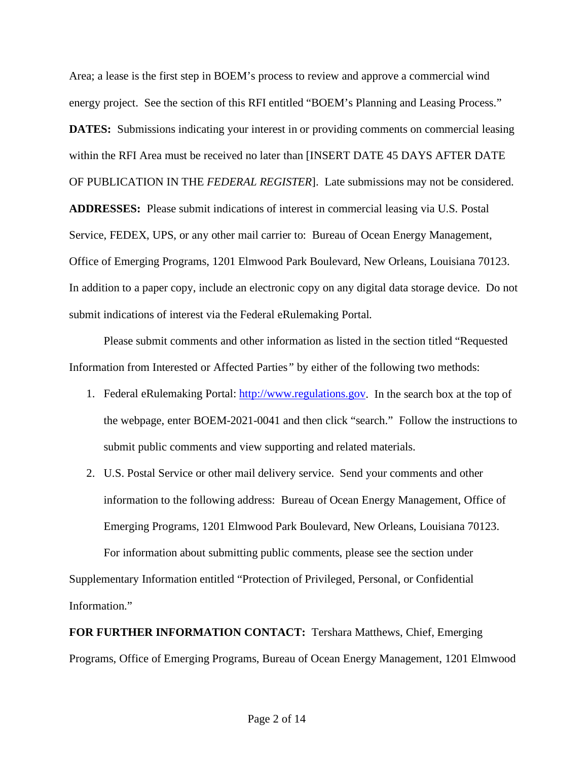Area; a lease is the first step in BOEM's process to review and approve a commercial wind energy project. See the section of this RFI entitled "BOEM's Planning and Leasing Process." **DATES:** Submissions indicating your interest in or providing comments on commercial leasing within the RFI Area must be received no later than [INSERT DATE 45 DAYS AFTER DATE OF PUBLICATION IN THE *FEDERAL REGISTER*]. Late submissions may not be considered. **ADDRESSES:**Please submit indications of interest in commercial leasing via U.S. Postal

Service, FEDEX, UPS, or any other mail carrier to: Bureau of Ocean Energy Management, Office of Emerging Programs, 1201 Elmwood Park Boulevard, New Orleans, Louisiana 70123. In addition to a paper copy, include an electronic copy on any digital data storage device. Do not submit indications of interest via the Federal eRulemaking Portal.

Please submit comments and other information as listed in the section titled "Requested Information from Interested or Affected Parties*"* by either of the following two methods:

- 1. Federal eRulemaking Portal: [http://www.regulations.gov.](http://www.regulations.gov/) In the search box at the top of the webpage, enter BOEM-2021-0041 and then click "search." Follow the instructions to submit public comments and view supporting and related materials.
- 2. U.S. Postal Service or other mail delivery service. Send your comments and other information to the following address: Bureau of Ocean Energy Management, Office of Emerging Programs, 1201 Elmwood Park Boulevard, New Orleans, Louisiana 70123. For information about submitting public comments, please see the section under

Supplementary Information entitled "Protection of Privileged, Personal, or Confidential Information."

**FOR FURTHER INFORMATION CONTACT:** Tershara Matthews, Chief, Emerging Programs, Office of Emerging Programs, Bureau of Ocean Energy Management, 1201 Elmwood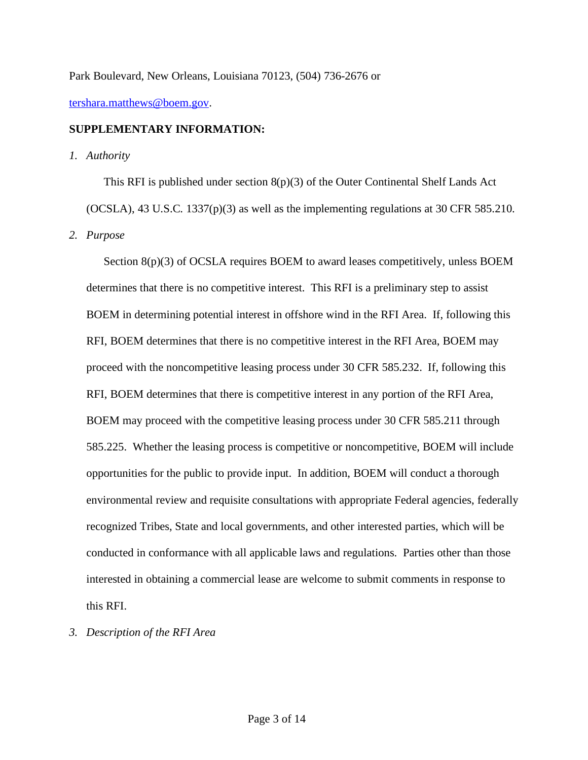Park Boulevard, New Orleans, Louisiana 70123, (504) 736-2676 or

[tershara.matthews@boem.gov.](mailto:tershara.matthews@boem.gov)

## **SUPPLEMENTARY INFORMATION:**

*1. Authority*

This RFI is published under section  $8(p)(3)$  of the Outer Continental Shelf Lands Act (OCSLA), 43 U.S.C. 1337(p)(3) as well as the implementing regulations at 30 CFR 585.210. *2. Purpose*

Section 8(p)(3) of OCSLA requires BOEM to award leases competitively, unless BOEM determines that there is no competitive interest. This RFI is a preliminary step to assist BOEM in determining potential interest in offshore wind in the RFI Area. If, following this RFI, BOEM determines that there is no competitive interest in the RFI Area, BOEM may proceed with the noncompetitive leasing process under 30 CFR 585.232. If, following this RFI, BOEM determines that there is competitive interest in any portion of the RFI Area, BOEM may proceed with the competitive leasing process under 30 CFR 585.211 through 585.225. Whether the leasing process is competitive or noncompetitive, BOEM will include opportunities for the public to provide input. In addition, BOEM will conduct a thorough environmental review and requisite consultations with appropriate Federal agencies, federally recognized Tribes, State and local governments, and other interested parties, which will be conducted in conformance with all applicable laws and regulations. Parties other than those interested in obtaining a commercial lease are welcome to submit comments in response to this RFI.

*3. Description of the RFI Area*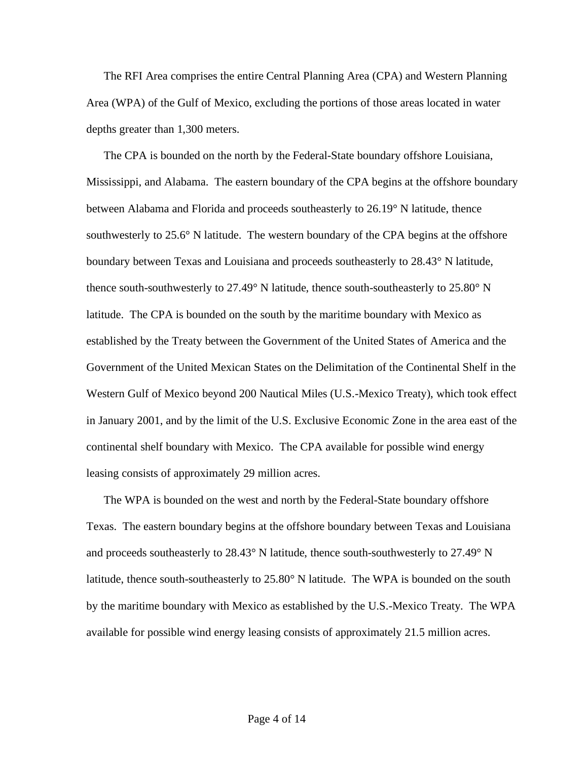The RFI Area comprises the entire Central Planning Area (CPA) and Western Planning Area (WPA) of the Gulf of Mexico, excluding the portions of those areas located in water depths greater than 1,300 meters.

The CPA is bounded on the north by the Federal-State boundary offshore Louisiana, Mississippi, and Alabama. The eastern boundary of the CPA begins at the offshore boundary between Alabama and Florida and proceeds southeasterly to 26.19° N latitude, thence southwesterly to  $25.6^{\circ}$  N latitude. The western boundary of the CPA begins at the offshore boundary between Texas and Louisiana and proceeds southeasterly to 28.43° N latitude, thence south-southwesterly to 27.49° N latitude, thence south-southeasterly to 25.80° N latitude. The CPA is bounded on the south by the maritime boundary with Mexico as established by the Treaty between the Government of the United States of America and the Government of the United Mexican States on the Delimitation of the Continental Shelf in the Western Gulf of Mexico beyond 200 Nautical Miles (U.S.-Mexico Treaty), which took effect in January 2001, and by the limit of the U.S. Exclusive Economic Zone in the area east of the continental shelf boundary with Mexico. The CPA available for possible wind energy leasing consists of approximately 29 million acres.

The WPA is bounded on the west and north by the Federal-State boundary offshore Texas. The eastern boundary begins at the offshore boundary between Texas and Louisiana and proceeds southeasterly to 28.43° N latitude, thence south-southwesterly to 27.49° N latitude, thence south-southeasterly to 25.80° N latitude. The WPA is bounded on the south by the maritime boundary with Mexico as established by the U.S.-Mexico Treaty. The WPA available for possible wind energy leasing consists of approximately 21.5 million acres.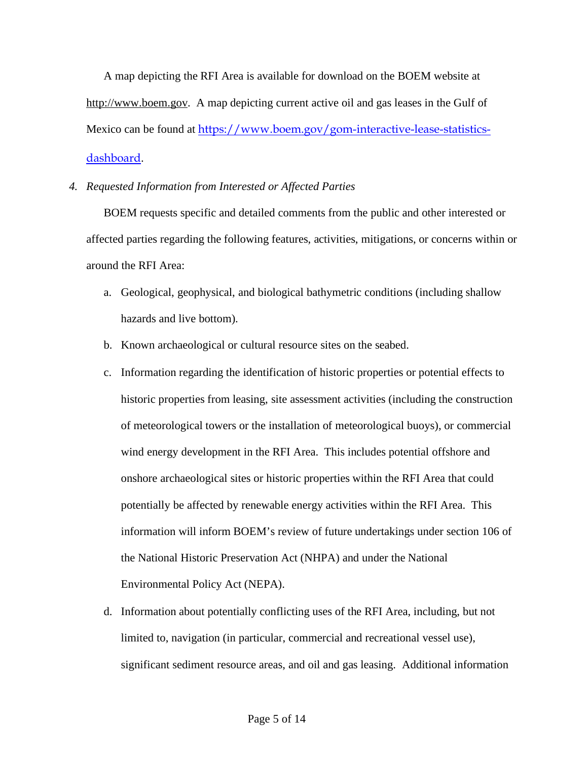A map depicting the RFI Area is available for download on the BOEM website at [http://www.boem.gov.](http://www.boem.gov/) A map depicting current active oil and gas leases in the Gulf of Mexico can be found at [https://www.boem.gov/gom-interactive-lease-statistics](https://www.boem.gov/gom-interactive-lease-statistics-dashboard)[dashboard](https://www.boem.gov/gom-interactive-lease-statistics-dashboard).

### *4. Requested Information from Interested or Affected Parties*

BOEM requests specific and detailed comments from the public and other interested or affected parties regarding the following features, activities, mitigations, or concerns within or around the RFI Area:

- a. Geological, geophysical, and biological bathymetric conditions (including shallow hazards and live bottom).
- b. Known archaeological or cultural resource sites on the seabed.
- c. Information regarding the identification of historic properties or potential effects to historic properties from leasing, site assessment activities (including the construction of meteorological towers or the installation of meteorological buoys), or commercial wind energy development in the RFI Area. This includes potential offshore and onshore archaeological sites or historic properties within the RFI Area that could potentially be affected by renewable energy activities within the RFI Area. This information will inform BOEM's review of future undertakings under section 106 of the National Historic Preservation Act (NHPA) and under the National Environmental Policy Act (NEPA).
- d. Information about potentially conflicting uses of the RFI Area, including, but not limited to, navigation (in particular, commercial and recreational vessel use), significant sediment resource areas, and oil and gas leasing. Additional information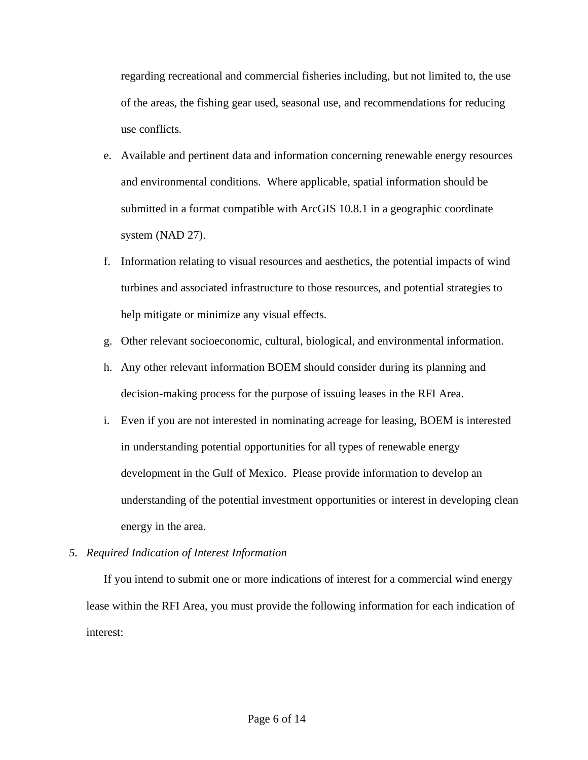regarding recreational and commercial fisheries including, but not limited to, the use of the areas, the fishing gear used, seasonal use, and recommendations for reducing use conflicts.

- e. Available and pertinent data and information concerning renewable energy resources and environmental conditions. Where applicable, spatial information should be submitted in a format compatible with ArcGIS 10.8.1 in a geographic coordinate system (NAD 27).
- f. Information relating to visual resources and aesthetics, the potential impacts of wind turbines and associated infrastructure to those resources, and potential strategies to help mitigate or minimize any visual effects.
- g. Other relevant socioeconomic, cultural, biological, and environmental information.
- h. Any other relevant information BOEM should consider during its planning and decision-making process for the purpose of issuing leases in the RFI Area.
- i. Even if you are not interested in nominating acreage for leasing, BOEM is interested in understanding potential opportunities for all types of renewable energy development in the Gulf of Mexico. Please provide information to develop an understanding of the potential investment opportunities or interest in developing clean energy in the area.

# *5. Required Indication of Interest Information*

If you intend to submit one or more indications of interest for a commercial wind energy lease within the RFI Area, you must provide the following information for each indication of interest: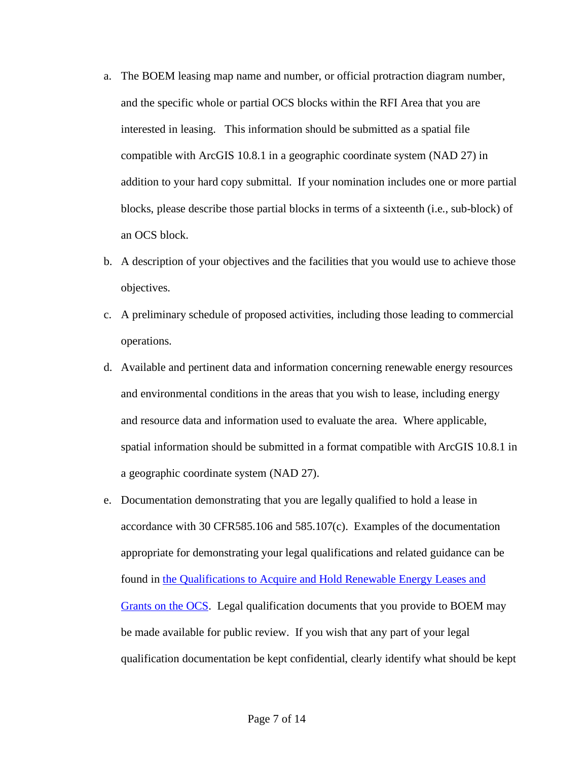- a. The BOEM leasing map name and number, or official protraction diagram number, and the specific whole or partial OCS blocks within the RFI Area that you are interested in leasing. This information should be submitted as a spatial file compatible with ArcGIS 10.8.1 in a geographic coordinate system (NAD 27) in addition to your hard copy submittal. If your nomination includes one or more partial blocks, please describe those partial blocks in terms of a sixteenth (i.e., sub-block) of an OCS block.
- b. A description of your objectives and the facilities that you would use to achieve those objectives.
- c. A preliminary schedule of proposed activities, including those leading to commercial operations.
- d. Available and pertinent data and information concerning renewable energy resources and environmental conditions in the areas that you wish to lease, including energy and resource data and information used to evaluate the area. Where applicable, spatial information should be submitted in a format compatible with ArcGIS 10.8.1 in a geographic coordinate system (NAD 27).
- e. Documentation demonstrating that you are legally qualified to hold a lease in accordance with 30 CFR585.106 and 585.107(c). Examples of the documentation appropriate for demonstrating your legal qualifications and related guidance can be found in [the Qualifications to Acquire and Hold Renewable Energy Leases and](https://www.boem.gov/qualification-guidelines)  [Grants on the OCS.](https://www.boem.gov/qualification-guidelines) Legal qualification documents that you provide to BOEM may be made available for public review. If you wish that any part of your legal qualification documentation be kept confidential, clearly identify what should be kept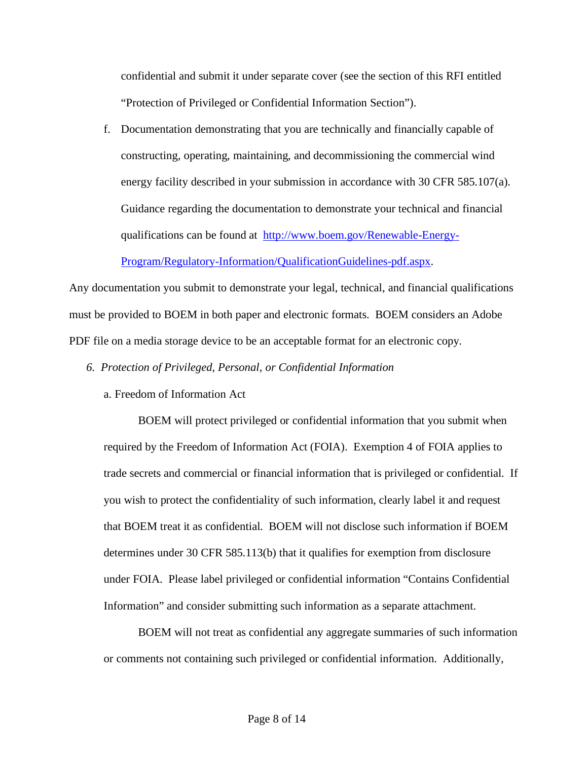confidential and submit it under separate cover (see the section of this RFI entitled "Protection of Privileged or Confidential Information Section").

f. Documentation demonstrating that you are technically and financially capable of constructing, operating, maintaining, and decommissioning the commercial wind energy facility described in your submission in accordance with 30 CFR 585.107(a). Guidance regarding the documentation to demonstrate your technical and financial qualifications can be found at [http://www.boem.gov/Renewable-Energy-](http://www.boem.gov/Renewable-Energy-Program/Regulatory-Information/QualificationGuidelines-pdf.aspx)

[Program/Regulatory-Information/QualificationGuidelines-pdf.aspx.](http://www.boem.gov/Renewable-Energy-Program/Regulatory-Information/QualificationGuidelines-pdf.aspx)

Any documentation you submit to demonstrate your legal, technical, and financial qualifications must be provided to BOEM in both paper and electronic formats. BOEM considers an Adobe PDF file on a media storage device to be an acceptable format for an electronic copy.

- *6. Protection of Privileged, Personal, or Confidential Information* 
	- a. Freedom of Information Act

BOEM will protect privileged or confidential information that you submit when required by the Freedom of Information Act (FOIA). Exemption 4 of FOIA applies to trade secrets and commercial or financial information that is privileged or confidential. If you wish to protect the confidentiality of such information, clearly label it and request that BOEM treat it as confidential. BOEM will not disclose such information if BOEM determines under 30 CFR 585.113(b) that it qualifies for exemption from disclosure under FOIA. Please label privileged or confidential information "Contains Confidential Information" and consider submitting such information as a separate attachment.

BOEM will not treat as confidential any aggregate summaries of such information or comments not containing such privileged or confidential information. Additionally,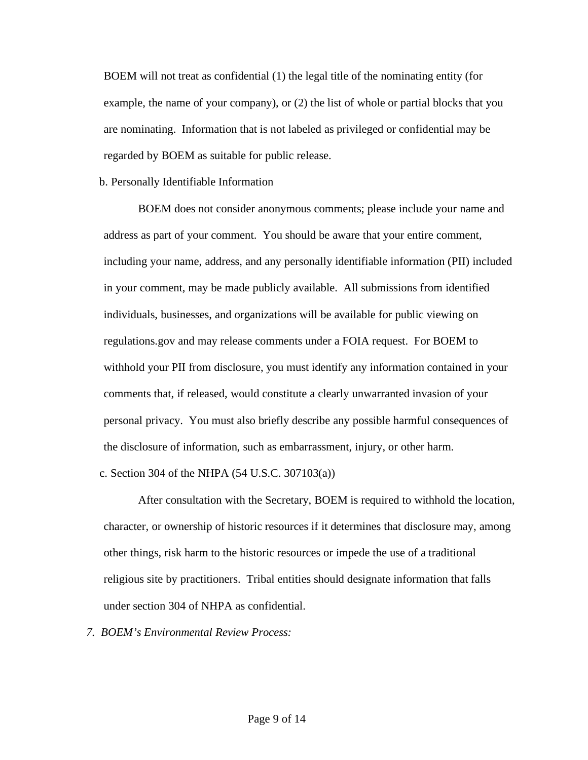BOEM will not treat as confidential (1) the legal title of the nominating entity (for example, the name of your company), or (2) the list of whole or partial blocks that you are nominating. Information that is not labeled as privileged or confidential may be regarded by BOEM as suitable for public release.

### b. Personally Identifiable Information

BOEM does not consider anonymous comments; please include your name and address as part of your comment. You should be aware that your entire comment, including your name, address, and any personally identifiable information (PII) included in your comment, may be made publicly available. All submissions from identified individuals, businesses, and organizations will be available for public viewing on regulations.gov and may release comments under a FOIA request. For BOEM to withhold your PII from disclosure, you must identify any information contained in your comments that, if released, would constitute a clearly unwarranted invasion of your personal privacy. You must also briefly describe any possible harmful consequences of the disclosure of information, such as embarrassment, injury, or other harm. c. Section 304 of the NHPA (54 U.S.C. 307103(a))

After consultation with the Secretary, BOEM is required to withhold the location, character, or ownership of historic resources if it determines that disclosure may, among other things, risk harm to the historic resources or impede the use of a traditional religious site by practitioners. Tribal entities should designate information that falls under section 304 of NHPA as confidential.

*7. BOEM's Environmental Review Process:*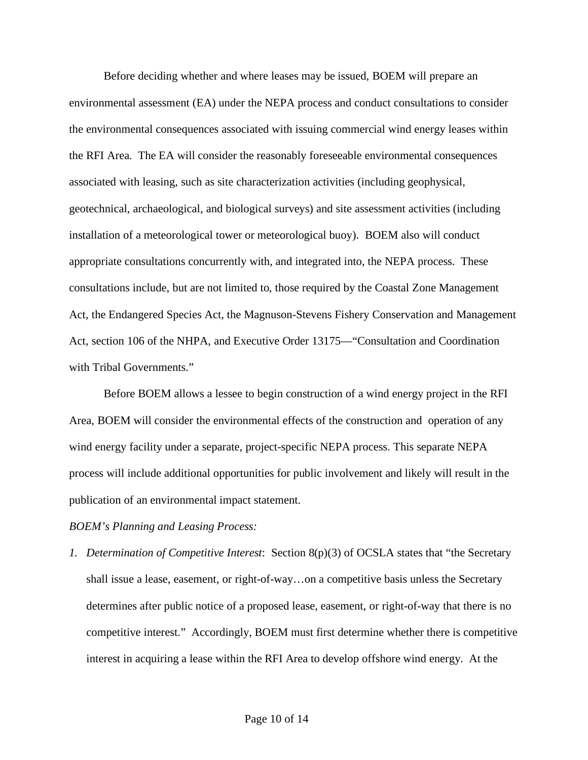Before deciding whether and where leases may be issued, BOEM will prepare an environmental assessment (EA) under the NEPA process and conduct consultations to consider the environmental consequences associated with issuing commercial wind energy leases within the RFI Area. The EA will consider the reasonably foreseeable environmental consequences associated with leasing, such as site characterization activities (including geophysical, geotechnical, archaeological, and biological surveys) and site assessment activities (including installation of a meteorological tower or meteorological buoy). BOEM also will conduct appropriate consultations concurrently with, and integrated into, the NEPA process. These consultations include, but are not limited to, those required by the Coastal Zone Management Act, the Endangered Species Act, the Magnuson-Stevens Fishery Conservation and Management Act, section 106 of the NHPA, and Executive Order 13175—"Consultation and Coordination with Tribal Governments."

Before BOEM allows a lessee to begin construction of a wind energy project in the RFI Area, BOEM will consider the environmental effects of the construction and operation of any wind energy facility under a separate, project-specific NEPA process. This separate NEPA process will include additional opportunities for public involvement and likely will result in the publication of an environmental impact statement.

### *BOEM's Planning and Leasing Process:*

*1. Determination of Competitive Interest*: Section 8(p)(3) of OCSLA states that "the Secretary shall issue a lease, easement, or right-of-way…on a competitive basis unless the Secretary determines after public notice of a proposed lease, easement, or right-of-way that there is no competitive interest." Accordingly, BOEM must first determine whether there is competitive interest in acquiring a lease within the RFI Area to develop offshore wind energy. At the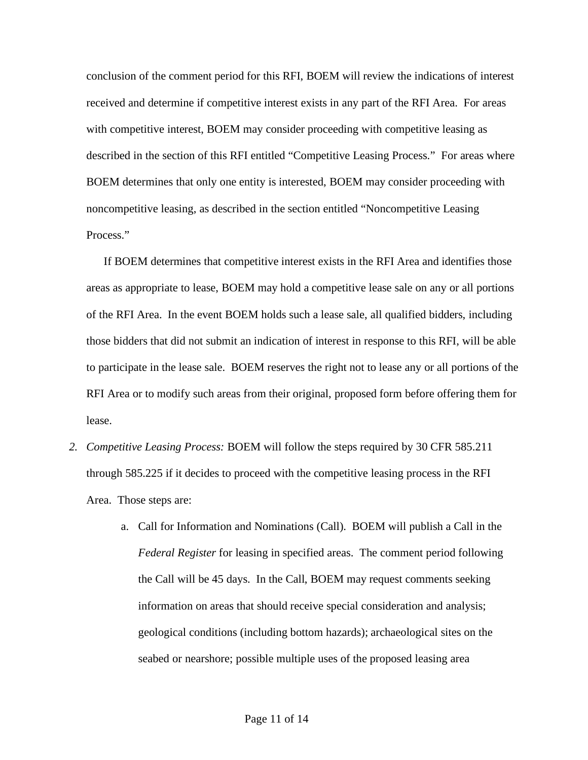conclusion of the comment period for this RFI, BOEM will review the indications of interest received and determine if competitive interest exists in any part of the RFI Area. For areas with competitive interest, BOEM may consider proceeding with competitive leasing as described in the section of this RFI entitled "Competitive Leasing Process." For areas where BOEM determines that only one entity is interested, BOEM may consider proceeding with noncompetitive leasing, as described in the section entitled "Noncompetitive Leasing Process."

If BOEM determines that competitive interest exists in the RFI Area and identifies those areas as appropriate to lease, BOEM may hold a competitive lease sale on any or all portions of the RFI Area. In the event BOEM holds such a lease sale, all qualified bidders, including those bidders that did not submit an indication of interest in response to this RFI, will be able to participate in the lease sale. BOEM reserves the right not to lease any or all portions of the RFI Area or to modify such areas from their original, proposed form before offering them for lease.

- *2. Competitive Leasing Process:* BOEM will follow the steps required by 30 CFR 585.211 through 585.225 if it decides to proceed with the competitive leasing process in the RFI Area. Those steps are:
	- a. Call for Information and Nominations (Call). BOEM will publish a Call in the *Federal Register* for leasing in specified areas. The comment period following the Call will be 45 days. In the Call, BOEM may request comments seeking information on areas that should receive special consideration and analysis; geological conditions (including bottom hazards); archaeological sites on the seabed or nearshore; possible multiple uses of the proposed leasing area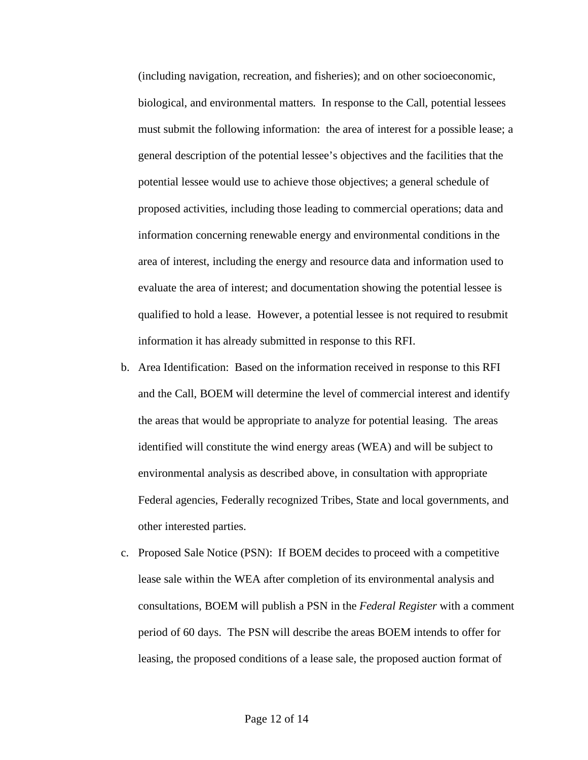(including navigation, recreation, and fisheries); and on other socioeconomic, biological, and environmental matters. In response to the Call, potential lessees must submit the following information: the area of interest for a possible lease; a general description of the potential lessee's objectives and the facilities that the potential lessee would use to achieve those objectives; a general schedule of proposed activities, including those leading to commercial operations; data and information concerning renewable energy and environmental conditions in the area of interest, including the energy and resource data and information used to evaluate the area of interest; and documentation showing the potential lessee is qualified to hold a lease. However, a potential lessee is not required to resubmit information it has already submitted in response to this RFI.

- b. Area Identification:Based on the information received in response to this RFI and the Call, BOEM will determine the level of commercial interest and identify the areas that would be appropriate to analyze for potential leasing. The areas identified will constitute the wind energy areas (WEA) and will be subject to environmental analysis as described above, in consultation with appropriate Federal agencies, Federally recognized Tribes, State and local governments, and other interested parties.
- c. Proposed Sale Notice (PSN):If BOEM decides to proceed with a competitive lease sale within the WEA after completion of its environmental analysis and consultations, BOEM will publish a PSN in the *Federal Register* with a comment period of 60 days. The PSN will describe the areas BOEM intends to offer for leasing, the proposed conditions of a lease sale, the proposed auction format of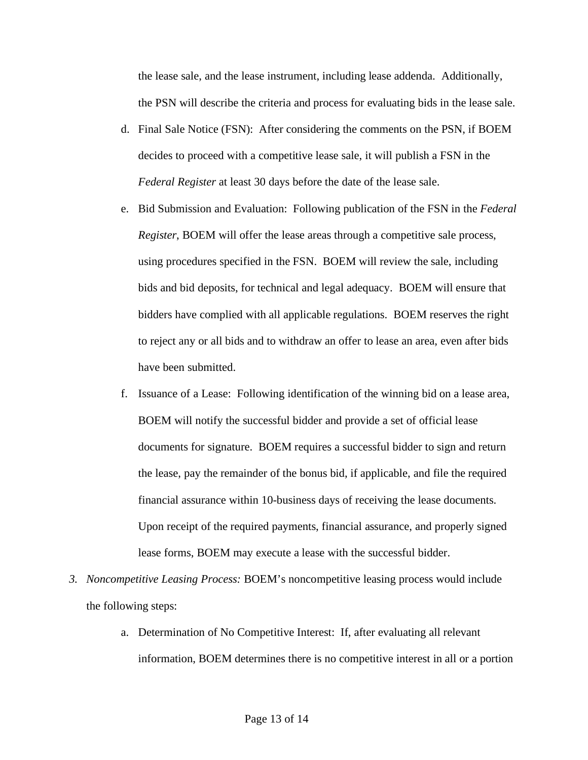the lease sale, and the lease instrument, including lease addenda. Additionally, the PSN will describe the criteria and process for evaluating bids in the lease sale.

- d. Final Sale Notice (FSN): After considering the comments on the PSN, if BOEM decides to proceed with a competitive lease sale, it will publish a FSN in the *Federal Register* at least 30 days before the date of the lease sale.
- e. Bid Submission and Evaluation: Following publication of the FSN in the *Federal Register*, BOEM will offer the lease areas through a competitive sale process, using procedures specified in the FSN. BOEM will review the sale, including bids and bid deposits, for technical and legal adequacy. BOEM will ensure that bidders have complied with all applicable regulations. BOEM reserves the right to reject any or all bids and to withdraw an offer to lease an area, even after bids have been submitted.
- f. Issuance of a Lease:Following identification of the winning bid on a lease area, BOEM will notify the successful bidder and provide a set of official lease documents for signature. BOEM requires a successful bidder to sign and return the lease, pay the remainder of the bonus bid, if applicable, and file the required financial assurance within 10-business days of receiving the lease documents. Upon receipt of the required payments, financial assurance, and properly signed lease forms, BOEM may execute a lease with the successful bidder.
- *3. Noncompetitive Leasing Process:* BOEM's noncompetitive leasing process would include the following steps:
	- a. Determination of No Competitive Interest: If, after evaluating all relevant information, BOEM determines there is no competitive interest in all or a portion